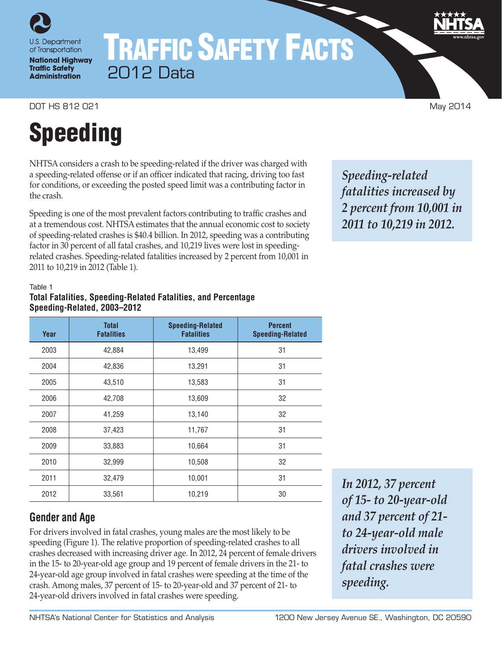

**National Highway Traffic Safety Administration** 

# TRAFFIC SAFETY FACTS 2012 Data

DOT HS 812 021 May 2014

# Speeding

NHTSA considers a crash to be speeding-related if the driver was charged with a speeding-related offense or if an officer indicated that racing, driving too fast for conditions, or exceeding the posted speed limit was a contributing factor in the crash.

Speeding is one of the most prevalent factors contributing to traffic crashes and at a tremendous cost. NHTSA estimates that the annual economic cost to society of speeding-related crashes is \$40.4 billion. In 2012, speeding was a contributing factor in 30 percent of all fatal crashes, and 10,219 lives were lost in speedingrelated crashes. Speeding-related fatalities increased by 2 percent from 10,001 in 2011 to 10,219 in 2012 (Table 1).

*Speeding-related fatalities increased by 2 percent from 10,001 in 2011 to 10,219 in 2012.*

### Table 1

## **Total Fatalities, Speeding-Related Fatalities, and Percentage Speeding-Related, 2003–2012**

| Year | <b>Total</b><br><b>Fatalities</b> | <b>Speeding-Related</b><br><b>Fatalities</b> | <b>Percent</b><br><b>Speeding-Related</b> |
|------|-----------------------------------|----------------------------------------------|-------------------------------------------|
| 2003 | 42,884                            | 13,499                                       | 31                                        |
| 2004 | 42,836                            | 13,291                                       | 31                                        |
| 2005 | 43,510                            | 13,583                                       | 31                                        |
| 2006 | 42,708                            | 13,609                                       | 32                                        |
| 2007 | 41,259                            | 13,140                                       | 32                                        |
| 2008 | 37,423                            | 11,767                                       | 31                                        |
| 2009 | 33,883                            | 10,664                                       | 31                                        |
| 2010 | 32,999                            | 10,508                                       | 32                                        |
| 2011 | 32,479                            | 10,001                                       | 31                                        |
| 2012 | 33,561                            | 10,219                                       | 30                                        |

# **Gender and Age**

For drivers involved in fatal crashes, young males are the most likely to be speeding (Figure 1). The relative proportion of speeding-related crashes to all crashes decreased with increasing driver age. In 2012, 24 percent of female drivers in the 15- to 20-year-old age group and 19 percent of female drivers in the 21- to 24-year-old age group involved in fatal crashes were speeding at the time of the crash. Among males, 37 percent of 15- to 20-year-old and 37 percent of 21- to 24-year-old drivers involved in fatal crashes were speeding.

*In 2012, 37 percent of 15- to 20-year-old and 37 percent of 21 to 24-year-old male drivers involved in fatal crashes were speeding.*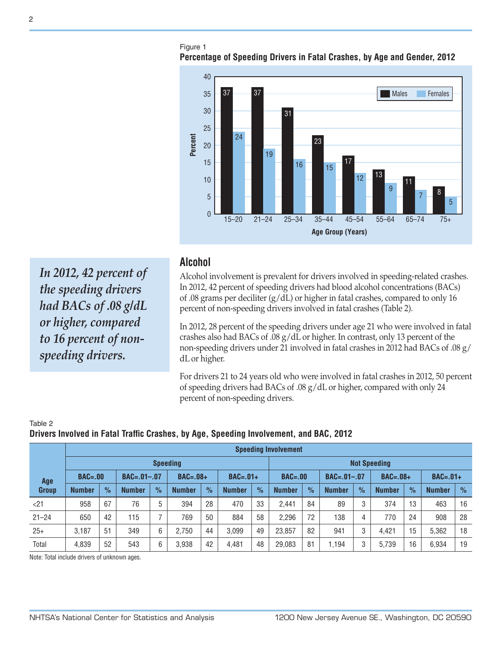Figure 1 **Percentage of Speeding Drivers in Fatal Crashes, by Age and Gender, 2012**



*In 2012, 42 percent of the speeding drivers had BACs of .08 g/dL or higher, compared to 16 percent of nonspeeding drivers.*

## **Alcohol**

Alcohol involvement is prevalent for drivers involved in speeding-related crashes. In 2012, 42 percent of speeding drivers had blood alcohol concentrations (BACs) of .08 grams per deciliter (g/dL) or higher in fatal crashes, compared to only 16 percent of non-speeding drivers involved in fatal crashes (Table 2).

In 2012, 28 percent of the speeding drivers under age 21 who were involved in fatal crashes also had BACs of .08 g/dL or higher. In contrast, only 13 percent of the non-speeding drivers under 21 involved in fatal crashes in 2012 had BACs of .08 g/ dL or higher.

For drivers 21 to 24 years old who were involved in fatal crashes in 2012, 50 percent of speeding drivers had BACs of .08 g/dL or higher, compared with only 24 percent of non-speeding drivers.

|                    |                 | <b>Speeding Involvement</b> |               |                |               |               |               |                     |               |                   |               |               |               |               |               |               |
|--------------------|-----------------|-----------------------------|---------------|----------------|---------------|---------------|---------------|---------------------|---------------|-------------------|---------------|---------------|---------------|---------------|---------------|---------------|
|                    | <b>Speeding</b> |                             |               |                |               |               |               | <b>Not Speeding</b> |               |                   |               |               |               |               |               |               |
| $BAC = .00$<br>Age |                 | $BAC = .01 - .07$           |               | $BAC=.08+$     |               | $BAC=.01+$    |               | $BAC = .00$         |               | $BAC = .01 - .07$ |               | $BAC=.08+$    |               | $BAC=.01+$    |               |               |
| <b>Group</b>       | <b>Number</b>   | $\frac{9}{6}$               | <b>Number</b> | $\frac{9}{6}$  | <b>Number</b> | $\frac{9}{6}$ | <b>Number</b> | $\frac{9}{6}$       | <b>Number</b> | $\frac{9}{6}$     | <b>Number</b> | $\frac{9}{6}$ | <b>Number</b> | $\frac{9}{6}$ | <b>Number</b> | $\frac{9}{6}$ |
| < 21               | 958             | 67                          | 76            | 5              | 394           | 28            | 470           | 33                  | 2.441         | 84                | 89            | 3             | 374           | 13            | 463           | 16            |
| $21 - 24$          | 650             | 42                          | 115           | $\overline{ }$ | 769           | 50            | 884           | 58                  | 2,296         | 72                | 138           | 4             | 770           | 24            | 908           | 28            |
| $25+$              | 3.187           | 51                          | 349           | 6              | 2.750         | 44            | 3.099         | 49                  | 23,857        | 82                | 941           | 3             | 4.421         | 15            | 5.362         | 18            |
| Total              | 4,839           | 52                          | 543           | 6              | 3.938         | 42            | 4.481         | 48                  | 29,083        | 81                | 1.194         | 3             | 5.739         | 16            | 6.934         | 19            |

#### Table 2 **Drivers Involved in Fatal Traffic Crashes, by Age, Speeding Involvement, and BAC, 2012**

Note: Total include drivers of unknown ages.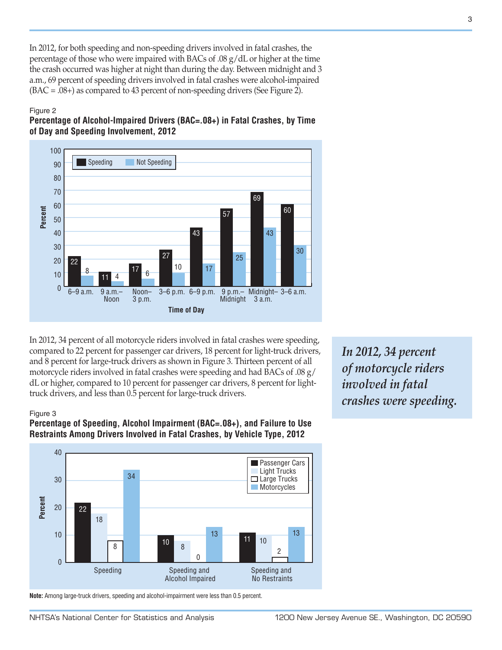In 2012, for both speeding and non-speeding drivers involved in fatal crashes, the percentage of those who were impaired with BACs of .08 g/dL or higher at the time the crash occurred was higher at night than during the day. Between midnight and 3 a.m., 69 percent of speeding drivers involved in fatal crashes were alcohol-impaired (BAC = .08+) as compared to 43 percent of non-speeding drivers (See Figure 2).

#### Figure 2





In 2012, 34 percent of all motorcycle riders involved in fatal crashes were speeding, compared to 22 percent for passenger car drivers, 18 percent for light-truck drivers, and 8 percent for large-truck drivers as shown in Figure 3. Thirteen percent of all motorcycle riders involved in fatal crashes were speeding and had BACs of .08 g/ dL or higher, compared to 10 percent for passenger car drivers, 8 percent for lighttruck drivers, and less than 0.5 percent for large-truck drivers.

#### Figure 3





**Note:** Among large-truck drivers, speeding and alcohol-impairment were less than 0.5 percent.

*In 2012, 34 percent of motorcycle riders involved in fatal crashes were speeding.*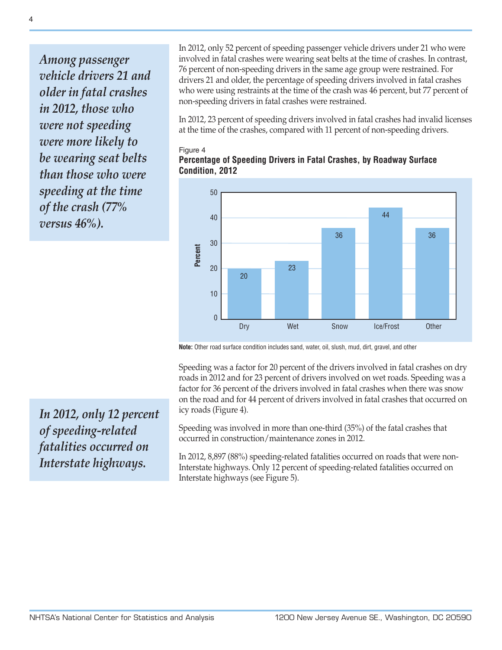*Among passenger vehicle drivers 21 and older in fatal crashes in 2012, those who were not speeding were more likely to be wearing seat belts than those who were speeding at the time of the crash (77% versus 46%).*

In 2012, only 52 percent of speeding passenger vehicle drivers under 21 who were involved in fatal crashes were wearing seat belts at the time of crashes. In contrast, 76 percent of non-speeding drivers in the same age group were restrained. For drivers 21 and older, the percentage of speeding drivers involved in fatal crashes who were using restraints at the time of the crash was 46 percent, but 77 percent of non-speeding drivers in fatal crashes were restrained.

In 2012, 23 percent of speeding drivers involved in fatal crashes had invalid licenses at the time of the crashes, compared with 11 percent of non-speeding drivers.

#### Figure 4





**Note:** Other road surface condition includes sand, water, oil, slush, mud, dirt, gravel, and other

Speeding was a factor for 20 percent of the drivers involved in fatal crashes on dry roads in 2012 and for 23 percent of drivers involved on wet roads. Speeding was a factor for 36 percent of the drivers involved in fatal crashes when there was snow on the road and for 44 percent of drivers involved in fatal crashes that occurred on icy roads (Figure 4).

Speeding was involved in more than one-third (35%) of the fatal crashes that occurred in construction/maintenance zones in 2012.

In 2012, 8,897 (88%) speeding-related fatalities occurred on roads that were non-Interstate highways. Only 12 percent of speeding-related fatalities occurred on Interstate highways (see Figure 5).

*In 2012, only 12 percent of speeding-related fatalities occurred on Interstate highways.*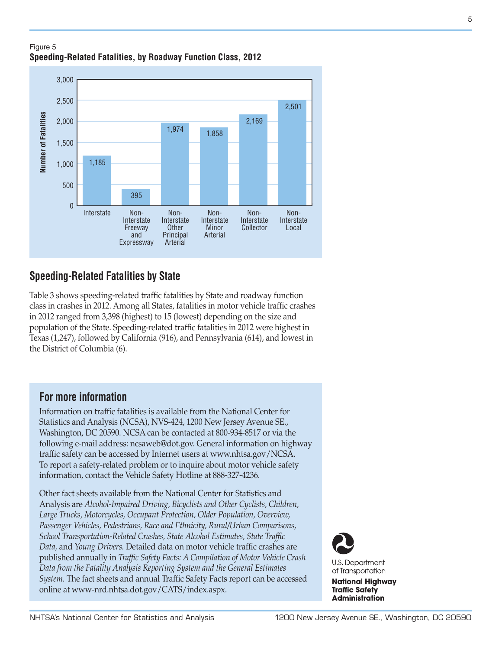### Figure 5 **Speeding-Related Fatalities, by Roadway Function Class, 2012**



# **Speeding-Related Fatalities by State**

Table 3 shows speeding-related traffic fatalities by State and roadway function class in crashes in 2012. Among all States, fatalities in motor vehicle traffic crashes in 2012 ranged from 3,398 (highest) to 15 (lowest) depending on the size and population of the State. Speeding-related traffic fatalities in 2012 were highest in Texas (1,247), followed by California (916), and Pennsylvania (614), and lowest in the District of Columbia (6).

# **For more information**

Information on traffic fatalities is available from the National Center for Statistics and Analysis (NCSA), NVS-424, 1200 New Jersey Avenue SE., Washington, DC 20590. NCSA can be contacted at 800-934-8517 or via the following e-mail address: [ncsaweb@dot.gov](mailto:ncsaweb%40dot.gov?subject=). General information on highway traffic safety can be accessed by Internet users at <www.nhtsa.gov/NCSA>. To report a safety-related problem or to inquire about motor vehicle safety information, contact the Vehicle Safety Hotline at 888-327-4236.

Other fact sheets available from the National Center for Statistics and Analysis are *Alcohol-Impaired Driving, Bicyclists and Other Cyclists, Children, Large Trucks, Motorcycles, Occupant Protection, Older Population, Overview, Passenger Vehicles, Pedestrians, Race and Ethnicity, Rural/Urban Comparisons, School Transportation-Related Crashes, State Alcohol Estimates, State Traffic Data,* and *Young Drivers.* Detailed data on motor vehicle traffic crashes are published annually in *Traffic Safety Facts: A Compilation of Motor Vehicle Crash Data from the Fatality Analysis Reporting System and the General Estimates System.* The fact sheets and annual Traffic Safety Facts report can be accessed online at [www-nrd.nhtsa.dot.gov/CATS/index.aspx](http://www-nrd.nhtsa.dot.gov/CATS/index.aspx).



**National Highway Traffic Safety** 

**Administration**